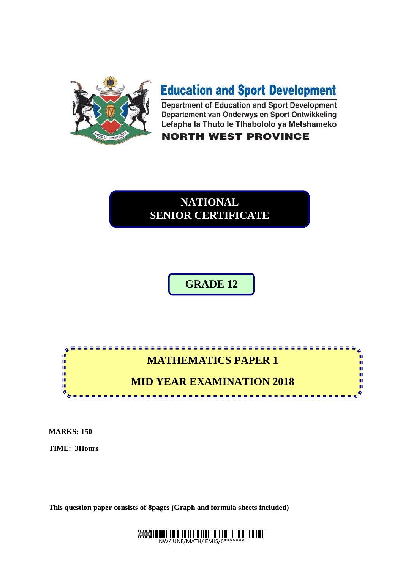

# **Education and Sport Development**

Department of Education and Sport Development Departement van Onderwys en Sport Ontwikkeling Lefapha la Thuto le Tlhabololo ya Metshameko

**NORTH WEST PROVINCE** 

## **NATIONAL SENIOR CERTIFICATE**

**GRADE 12**

## **MATHEMATICS PAPER 1**

<u>. . . . . . . . . . . . . . .</u>

n. n.

n

### **MID YEAR EXAMINATION 2018**

**MARKS: 150** 

I. Ĩ,

ú,

ú ú Ń

**TIME: 3Hours** 

**This question paper consists of 8pages (Graph and formula sheets included)**

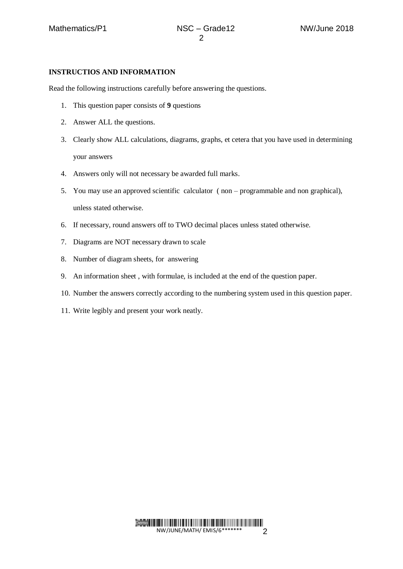#### **INSTRUCTIOS AND INFORMATION**

Read the following instructions carefully before answering the questions.

- 1. This question paper consists of **9** questions
- 2. Answer ALL the questions.
- 3. Clearly show ALL calculations, diagrams, graphs, et cetera that you have used in determining your answers
- 4. Answers only will not necessary be awarded full marks.
- 5. You may use an approved scientific calculator ( non programmable and non graphical), unless stated otherwise.
- 6. If necessary, round answers off to TWO decimal places unless stated otherwise.
- 7. Diagrams are NOT necessary drawn to scale
- 8. Number of diagram sheets, for answering
- 9. An information sheet , with formulae, is included at the end of the question paper.
- 10. Number the answers correctly according to the numbering system used in this question paper.
- 11. Write legibly and present your work neatly.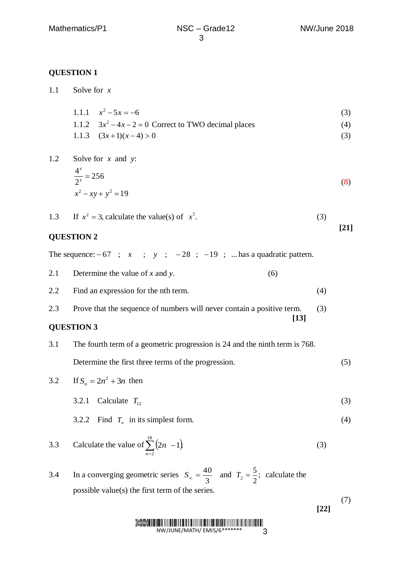| 1.1 | Solve for $x$                                                                                                         |        |        |
|-----|-----------------------------------------------------------------------------------------------------------------------|--------|--------|
|     | 1.1.1 $x^2-5x=-6$                                                                                                     |        | (3)    |
|     | 1.1.2 $3x^2 - 4x - 2 = 0$ Correct to TWO decimal places                                                               |        | (4)    |
|     | 1.1.3 $(3x+1)(x-4) > 0$                                                                                               |        | (3)    |
| 1.2 | Solve for $x$ and $y$ :<br>$\frac{4^x}{2^y} = 256$                                                                    |        |        |
|     |                                                                                                                       |        | (8)    |
|     | $x^2 - xy + y^2 = 19$                                                                                                 |        |        |
| 1.3 | If $x^2 = 3$ , calculate the value(s) of $x^5$ .                                                                      | (3)    | $[21]$ |
|     | <b>QUESTION 2</b>                                                                                                     |        |        |
|     | The sequence: $-67$ ; x ; y ; $-28$ ; $-19$ ;  has a quadratic pattern.                                               |        |        |
| 2.1 | Determine the value of $x$ and $y$ .<br>(6)                                                                           |        |        |
| 2.2 | Find an expression for the nth term.                                                                                  | (4)    |        |
| 2.3 | Prove that the sequence of numbers will never contain a positive term.<br>$[13]$                                      | (3)    |        |
|     | <b>QUESTION 3</b>                                                                                                     |        |        |
| 3.1 | The fourth term of a geometric progression is 24 and the ninth term is 768.                                           |        |        |
|     | Determine the first three terms of the progression.                                                                   |        | (5)    |
| 3.2 | If $S_n = 2n^2 + 3n$ then                                                                                             |        |        |
|     | Calculate $T_{12}$<br>3.2.1                                                                                           |        | (3)    |
|     | Find $T_n$ in its simplest form.<br>3.2.2                                                                             |        | (4)    |
| 3.3 | Calculate the value of $\sum_{n=2}^{18} (2n - 1)$                                                                     | (3)    |        |
| 3.4 | In a converging geometric series $S_{\infty} = \frac{40}{3}$ and $T_2 = \frac{5}{2}$ ; calculate the                  |        |        |
|     | possible value(s) the first term of the series.                                                                       |        |        |
|     |                                                                                                                       | $[22]$ | (7)    |
|     | <b>ELITER DE LA VIENNA DE LA VIENNA DE LA VIENNA DE LA VIENNA DE LA VIENNA DE LA VIENNA DE LA VIENNA DE LA VIENNA</b> |        |        |

NW/JUNE/MATH/ EMIS/6\*\*\*\*\*\*\* 3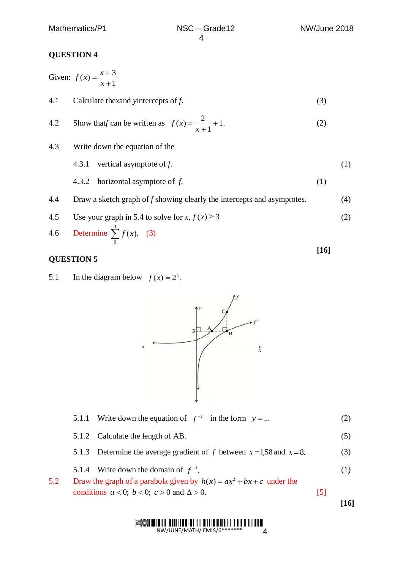Given: 1  $(x) = \frac{x+3}{1}$  $\ddot{}$  $=\frac{x+}{x+}$ *x*  $f(x) = \frac{x}{x}$ 4.1 Calculate the*x*and *y*intercepts of *f*. (3) 4.2 Show that *f* can be written as  $f(x) = \frac{2}{x} + 1$ . 1  $(x) = \frac{2}{x} +$  $\overline{+}$  $=$ *x f x* (2) 4.3 Write down the equation of the 4.3.1 vertical asymptote of *f*. (1) 4.3.2 horizontal asymptote of *f*. (1) 4.4 Draw a sketch graph of *f* showing clearly the intercepts and asymptotes. (4) 4.5 Use your graph in 5.4 to solve for  $x, f(x) \ge 3$ (2) 4.6 Determine  $\sum_{i=1}^{3} f(x)$ .  $\sum_{0}^{\infty} f(x)$ . (3) **[16]**

#### **QUESTION 5**

5.1 In the diagram below  $f(x) = 2^x$ .



|     |                                                                                                                                     |                   | 16  |
|-----|-------------------------------------------------------------------------------------------------------------------------------------|-------------------|-----|
| 5.2 | Draw the graph of a parabola given by $h(x) = ax^2 + bx + c$ under the<br>conditions $a < 0$ ; $b < 0$ ; $c > 0$ and $\Delta > 0$ . | $\lceil 5 \rceil$ |     |
|     | 5.1.4 Write down the domain of $f^{-1}$ .                                                                                           |                   | (1) |
|     | 5.1.3 Determine the average gradient of f between $x = 1.58$ and $x = 8$ .                                                          |                   | (3) |
|     | 5.1.2 Calculate the length of AB.                                                                                                   |                   | (5) |
|     | 5.1.1 Write down the equation of $f^{-1}$ in the form $y = $                                                                        |                   |     |

#### Demo

NW/JUNE/MATH/ EMIS/6\*\*\*\*\*\*\* 4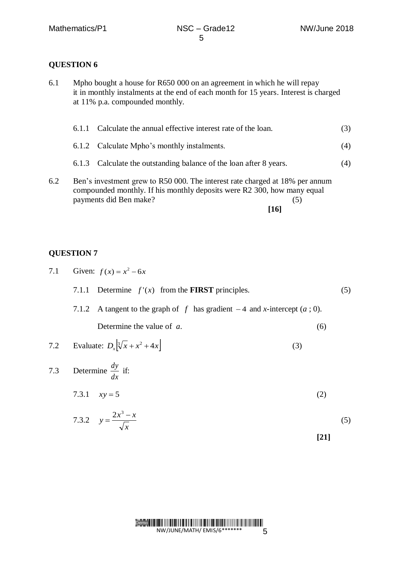6.1 Mpho bought a house for R650 000 on an agreement in which he will repay it in monthly instalments at the end of each month for 15 years. Interest is charged at 11% p.a. compounded monthly.

|     |                                                                                                                                                         | 6.1.1 Calculate the annual effective interest rate of the loan.    | (3) |
|-----|---------------------------------------------------------------------------------------------------------------------------------------------------------|--------------------------------------------------------------------|-----|
|     |                                                                                                                                                         | 6.1.2 Calculate Mpho's monthly instalments.                        | (4) |
|     |                                                                                                                                                         | 6.1.3 Calculate the outstanding balance of the loan after 8 years. | (4) |
| 6.2 | Ben's investment grew to R50 000. The interest rate charged at 18% per annum<br>compounded monthly. If his monthly deposits were R2 300, how many equal |                                                                    |     |

payments did Ben make? (5) **[16]**

#### **QUESTION 7**

7.1 Given:  $f(x) = x^2 - 6x$ 7.1.1 Determine  $f'(x)$  from the **FIRST** principles. (5) 7.1.2 A tangent to the graph of  $f$  has gradient  $-4$  and *x*-intercept  $(a, 0)$ . Determine the value of *a*. (6) 7.2 Evaluate:  $D_x \left[ \sqrt[3]{x} + x^2 + 4x \right]$ (3) 7.3 Determine *dx*  $\frac{dy}{dx}$  if: 7.3.1  $xy = 5$ (2)  $2x^3 - x$ 

7.3.2 
$$
y = \frac{2x^3 - x}{\sqrt{x}}
$$
 (5)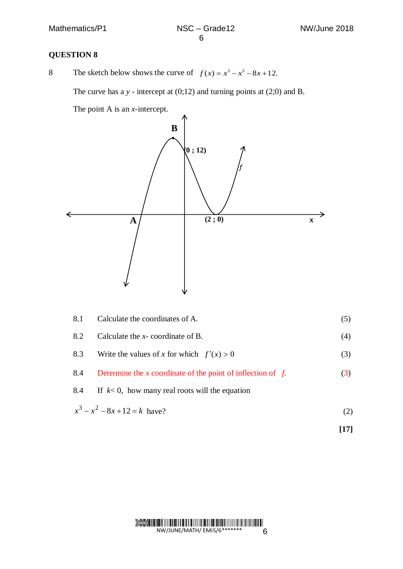8 The sketch below shows the curve of  $f(x) = x^3 - x^2 - 8x + 12$ .

The curve has a *y* - intercept at (0;12) and turning points at (2;0) and B.

The point A is an *x*-intercept.



| 8.1 | Calculate the coordinates of A.                                | (5) |
|-----|----------------------------------------------------------------|-----|
| 8.2 | Calculate the $x$ -coordinate of B.                            | (4) |
| 8.3 | Write the values of x for which $f'(x) > 0$                    | (3) |
| 8.4 | Determine the x coordinate of the point of inflection of $f$ . | (3) |
| 8.4 | If $k<0$ , how many real roots will the equation               |     |
|     | $x^3 - x^2 - 8x + 12 = k$ have?                                | (2) |

**[17]**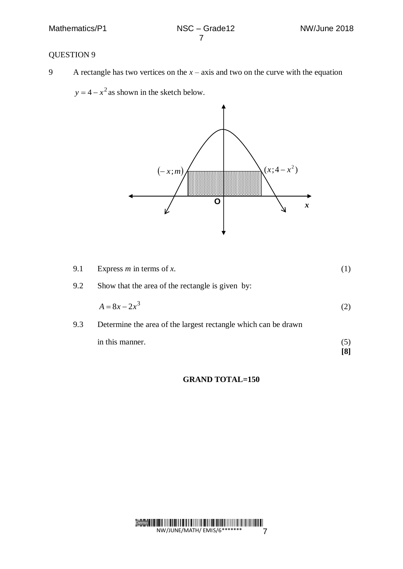9 A rectangle has two vertices on the  $x - axis$  and two on the curve with the equation

 $y = 4 - x^2$  as shown in the sketch below.



| 9.1 | Express $m$ in terms of $x$ .                                  |     |
|-----|----------------------------------------------------------------|-----|
| 9.2 | Show that the area of the rectangle is given by:               |     |
|     | $A = 8x - 2x^3$                                                |     |
| 9.3 | Determine the area of the largest rectangle which can be drawn |     |
|     | in this manner.                                                | (C) |
|     |                                                                |     |

#### **GRAND TOTAL=150**